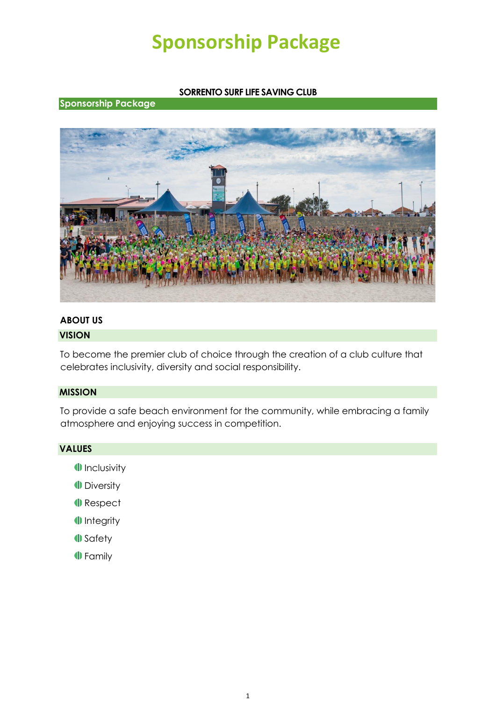## **SORRENTO SURF LIFE SAVING CLUB**

### **Sponsorship Package**



#### **ABOUT US**

#### **VISION**

To become the premier club of choice through the creation of a club culture that celebrates inclusivity, diversity and social responsibility.

### **MISSION**

To provide a safe beach environment for the community, while embracing a family atmosphere and enjoying success in competition.

#### **VALUES**

- **ID** Inclusivity
- **Diversity**
- **I** Respect
- <sup>1</sup> Integrity
- **I** Safety
- **ID** Family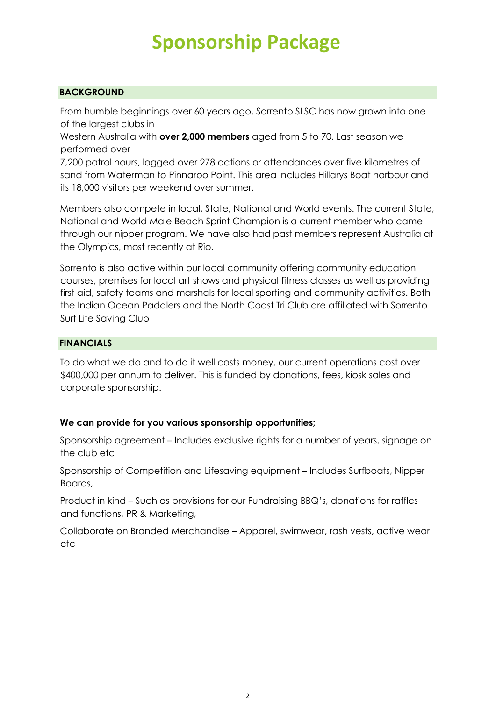## **BACKGROUND**

From humble beginnings over 60 years ago, Sorrento SLSC has now grown into one of the largest clubs in

Western Australia with **over 2,000 members** aged from 5 to 70. Last season we performed over

7,200 patrol hours, logged over 278 actions or attendances over five kilometres of sand from Waterman to Pinnaroo Point. This area includes Hillarys Boat harbour and its 18,000 visitors per weekend over summer.

Members also compete in local, State, National and World events. The current State, National and World Male Beach Sprint Champion is a current member who came through our nipper program. We have also had past members represent Australia at the Olympics, most recently at Rio.

Sorrento is also active within our local community offering community education courses, premises for local art shows and physical fitness classes as well as providing first aid, safety teams and marshals for local sporting and community activities. Both the Indian Ocean Paddlers and the North Coast Tri Club are affiliated with Sorrento Surf Life Saving Club

## **FINANCIALS**

To do what we do and to do it well costs money, our current operations cost over \$400,000 per annum to deliver. This is funded by donations, fees, kiosk sales and corporate sponsorship.

## **We can provide for you various sponsorship opportunities;**

Sponsorship agreement – Includes exclusive rights for a number of years, signage on the club etc

Sponsorship of Competition and Lifesaving equipment – Includes Surfboats, Nipper Boards,

Product in kind – Such as provisions for our Fundraising BBQ's, donations for raffles and functions, PR & Marketing,

Collaborate on Branded Merchandise – Apparel, swimwear, rash vests, active wear etc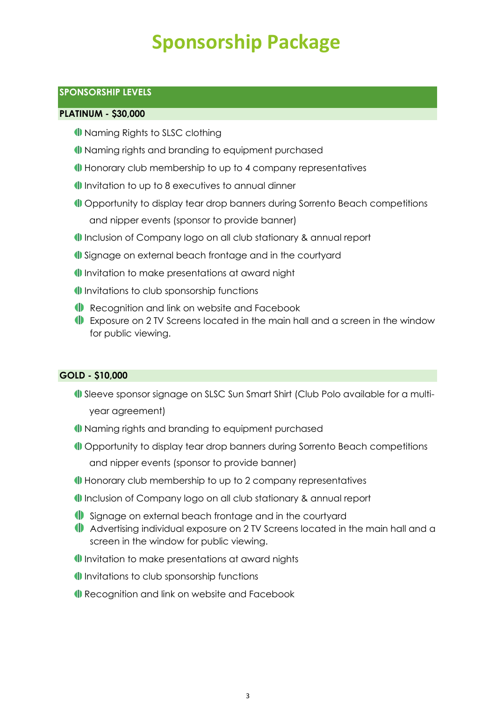## **SPONSORSHIP LEVELS**

### **PLATINUM - \$30,000**

- **ID** Naming Rights to SLSC clothing
- Naming rights and branding to equipment purchased
- Honorary club membership to up to 4 company representatives
- Invitation to up to 8 executives to annual dinner
- **ID** Opportunity to display tear drop banners during Sorrento Beach competitions and nipper events (sponsor to provide banner)
- Inclusion of Company logo on all club stationary & annual report
- **ID** Signage on external beach frontage and in the courtyard
- Invitation to make presentations at award night
- Invitations to club sponsorship functions
- Recognition and link on website and Facebook
- Exposure on 2 TV Screens located in the main hall and a screen in the window for public viewing.

#### **GOLD - \$10,000**

- **ID** Sleeve sponsor signage on SLSC Sun Smart Shirt (Club Polo available for a multiyear agreement)
- Naming rights and branding to equipment purchased
- Opportunity to display tear drop banners during Sorrento Beach competitions and nipper events (sponsor to provide banner)
- Honorary club membership to up to 2 company representatives
- Inclusion of Company logo on all club stationary & annual report
- Signage on external beach frontage and in the courtyard
- Advertising individual exposure on 2 TV Screens located in the main hall and a screen in the window for public viewing.
- Invitation to make presentations at award nights
- Invitations to club sponsorship functions
- Recognition and link on website and Facebook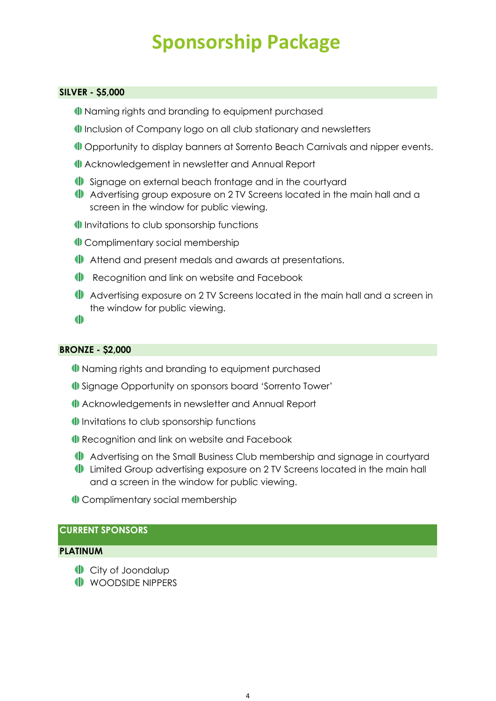### **SILVER - \$5,000**

- Naming rights and branding to equipment purchased
- Inclusion of Company logo on all club stationary and newsletters
- **ID** Opportunity to display banners at Sorrento Beach Carnivals and nipper events.
- Acknowledgement in newsletter and Annual Report
- Signage on external beach frontage and in the courtyard
- Advertising group exposure on 2 TV Screens located in the main hall and a screen in the window for public viewing.
- Invitations to club sponsorship functions
- Complimentary social membership
- Attend and present medals and awards at presentations.
- Recognition and link on website and Facebook
- Advertising exposure on 2 TV Screens located in the main hall and a screen in the window for public viewing.

 $\blacksquare$ 

#### **BRONZE - \$2,000**

- Naming rights and branding to equipment purchased
- Signage Opportunity on sponsors board 'Sorrento Tower'
- Acknowledgements in newsletter and Annual Report
- Invitations to club sponsorship functions
- **ID** Recognition and link on website and Facebook
- Advertising on the Small Business Club membership and signage in courtyard
- **ID** Limited Group advertising exposure on 2 TV Screens located in the main hall and a screen in the window for public viewing.
- Complimentary social membership

## **CURRENT SPONSORS**

#### **PLATINUM**

- **City of Joondalup**
- **ID** WOODSIDE NIPPERS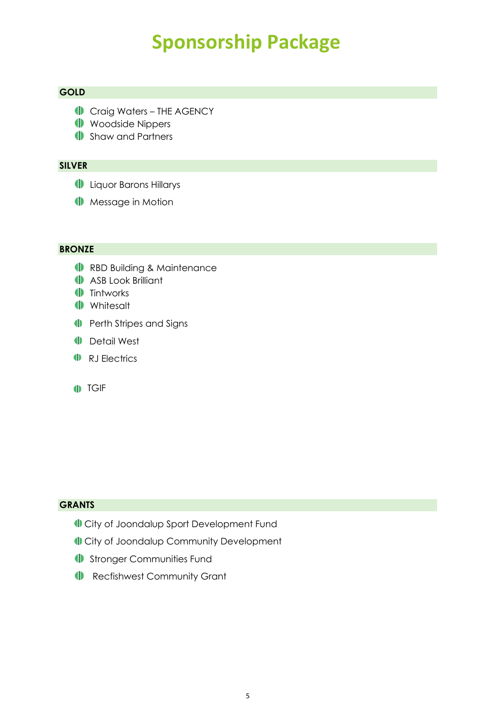## **GOLD**

- **ID** Craig Waters THE AGENCY
- **ID** Woodside Nippers
- **ID** Shaw and Partners

## **SILVER**

- **ID** Liquor Barons Hillarys
- **ID** Message in Motion

#### **BRONZE**

- **ID** RBD Building & Maintenance
- **ASB Look Brilliant**
- **II** Tintworks
- **I** Whitesalt
- **ID** Perth Stripes and Signs
- **ID** Detail West
- **ID** RJ Electrics
- **ID** TGIF

## **GRANTS**

- City of Joondalup Sport Development Fund
- City of Joondalup Community Development
- **ID** Stronger Communities Fund
- **ID** Recfishwest Community Grant